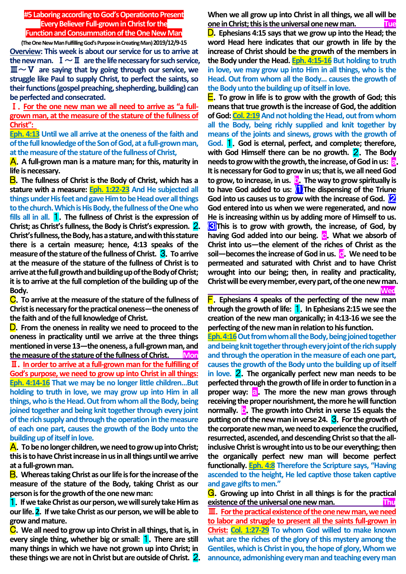### **#5 Laboring according to God's Operationto Present Every Believer Full-grown in Christ for the Function and Consummation of the One New Man**

**(The One New Man Fulfilling God's Purpose in Creating Man) 2019/12/9-15 Overview: This week is about our service for us to arrive at**  the new man.  $I \sim II$  are the life necessary for such service, Ⅲ~Ⅴ **are saying that by going through our service, we struggle like Paul to supply Christ, to perfect the saints, so their functions (gospel preaching, shepherding, building) can be perfected and consecrated.**

Ⅰ.**For the one new man we all need to arrive as "a fullgrown man, at the measure of the stature of the fullness of Christ":** 

**Eph. 4:13 Until we all arrive at the oneness of the faith and of the full knowledge of the Son of God, at a full-grown man, at the measure of the stature of the fullness of Christ,**

A.**A full-grown man is a mature man; for this, maturity in life is necessary.**

B.**The fullness of Christ is the Body of Christ, which has a stature with a measure: Eph. 1:22-23 And He subjected all things under His feet and gave Him to be Head over all things to the church. Which is His Body, the fullness of the One who fills all in all.** 1.**The fullness of Christ is the expression of Christ; as Christ's fullness, the Body is Christ's expression.** 2. **Christ's fullness, the Body, has a stature, and with this stature there is a certain measure; hence, 4:13 speaks of the measure of the stature of the fullness of Christ.** 3.**To arrive at the measure of the stature of the fullness of Christ is to**  arrive at the full growth and building up of the Body of Christ; **it is to arrive at the full completion of the building up of the Body.**

C.**To arrive at the measure of the stature of the fullness of Christ is necessary for the practical oneness—the oneness of the faith and of the full knowledge of Christ.**

D.**From the oneness in reality we need to proceed to the oneness in practicality until we arrive at the three things mentioned in verse 13—the oneness, a full-grown man, and the measure of the stature of the fullness of Christ. Mon** Ⅱ.**In order to arrive at a full-grown man for the fulfilling of God's purpose, we need to grow up into Christ in all things: Eph. 4:14-16 That we may be no longer little children…But holding to truth in love, we may grow up into Him in all things, who is the Head. Out from whom all the Body, being joined together and being knit together through every joint of the rich supply and through the operation in the measure of each one part, causes the growth of the Body unto the building up of itself in love.**

A.**To be no longer children, we need to grow up into Christ; this is to have Christ increase in us in all things until we arrive at a full-grown man.**

B.**Whereas taking Christ as our life is for the increase of the measure of the stature of the Body, taking Christ as our person is for the growth of the one new man:**

1.**If we take Christ as our person, we will surely take Him as our life. 2**.**If we take Christ as our person, we will be able to grow and mature.**

C.**We all need to grow up into Christ in all things, that is, in every single thing, whether big or small:** 1.**There are still many things in which we have not grown up into Christ; in these things we are not in Christ but are outside of Christ.** 2. **When we all grow up into Christ in all things, we all will be one in Christ; this is the universal one new man. Tue**

D.**Ephesians 4:15 says that we grow up into the Head; the word Head here indicates that our growth in life by the increase of Christ should be the growth of the members in the Body under the Head. Eph. 4:15-16 But holding to truth in love, we may grow up into Him in all things, who is the Head. Out from whom all the Body… causes the growth of the Body unto the building up of itself in love.**

E.**To grow in life is to grow with the growth of God; this means that true growth is the increase of God, the addition of God: Col. 2:19** And not holding the Head, out from whom **all the Body, being richly supplied and knit together by means of the joints and sinews, grows with the growth of God.** 1.**God is eternal, perfect, and complete; therefore, with God Himself there can be no growth.** 2.**The Body needs to grow with the growth, the increase, of God in us:** a. **It is necessary for God to grow in us; that is, we all need God to grow, to increase, in us.** b.**The way to grow spiritually is to have God added to us:** ⑴**The dispensing of the Triune God into us causes us to grow with the increase of God.** ⑵ **God entered into us when we were regenerated, and now He is increasing within us by adding more of Himself to us.**  ⑶**This is to grow with growth, the increase, of God, by having God added into our being. <b>c.** What we absorb of **Christ into us—the element of the riches of Christ as the soil**—becomes the increase of God in us. **C**. We need to be **permeated and saturated with Christ and to have Christ wrought into our being; then, in reality and practicality, Christ will be every member, every part, of the one new man. Wed**

F.**Ephesians 4 speaks of the perfecting of the new man through the growth of life:** 1.**In Ephesians 2:15 we see the creation of the new man organically; in 4:13-16 we see the perfecting of the new man in relation to his function.**

**Eph. 4:16** Out from whom all the Body, being joined together **and being knit together through every joint of the rich supply and through the operation in the measure of each one part, causes the growth of the Body unto the building up of itself in love.** 2.**The organically perfect new man needs to be perfected through the growth of life in order to function in a proper way:** a.**The more the new man grows through receiving the proper nourishment, the more he will function normally. b.** The growth into Christ in verse 15 equals the **putting on of the new man in verse 24.** 3.**For the growth of the corporate new man, we need to experience the crucified, resurrected, ascended, and descending Christ so that the allinclusive Christ is wrought into us to be our everything; then the organically perfect new man will become perfect functionally. Eph. 4:8 Therefore the Scripture says, "Having ascended to the height, He led captive those taken captive and gave gifts to men."**

G.**Growing up into Christ in all things is for the practical existence of the universal one new man.** Thu Ⅲ.**For the practical existence of the one new man, we need to labor and struggle to present all the saints full-grown in Christ: Col. 1:27-29 To whom God willed to make known what are the riches of the glory of this mystery among the** 

**Gentiles, which is Christ in you, the hope of glory, Whom we announce, admonishing every man and teaching every man**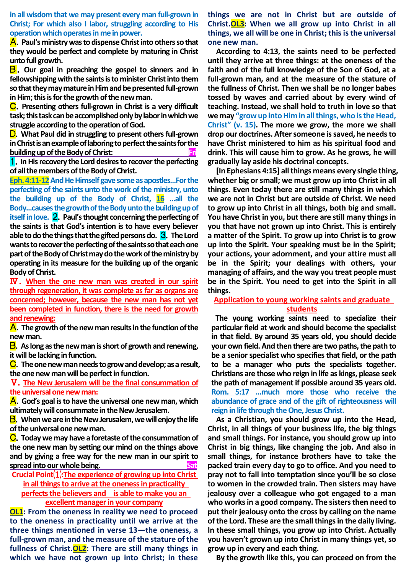**in all wisdom that we may present every man full-grown in Christ; For which also I labor, struggling according to His operation which operates in me in power.**

A.**Paul's ministry was to dispense Christ into others so that they would be perfect and complete by maturing in Christ unto full growth.**

B.**Our goal in preaching the gospel to sinners and in fellowshipping with the saints is to minister Christ into them so that they may mature in Him and be presented full-grown in Him; this is for the growth of the new man.**

C.**Presenting others full-grown in Christ is a very difficult task; this task can be accomplished only by labor in which we struggle according to the operation of God.**

D.**What Paul did in struggling to present others full-grown in Christ is an example of laboring to perfect the saints for the building up of the Body of Christ:** Fri

1.**In His recovery the Lord desires to recover the perfecting of all the members of the Body of Christ.**

**Eph. 4:11-12And He Himself gave some as apostles…For the perfecting of the saints unto the work of the ministry, unto the building up of the Body of Christ, 16 …all the Body…causes the growth of the Body unto the building up of itself in love.** 2.**Paul's thought concerning the perfecting of the saints is that God's intention is to have every believer able to do the things that the gifted persons do.** 3.**The Lord wants to recover the perfecting of the saints so that each one part of the Body of Christ may do the work of the ministry by operating in its measure for the building up of the organic Body of Christ.**

Ⅳ.**When the one new man was created in our spirit through regeneration, it was complete as far as organs are concerned; however, because the new man has not yet been completed in function, there is the need for growth and renewing:**

A.**The growth of the new man results in the function of the new man.**

B.**As long as the new man is short of growth and renewing, it will be lacking in function.**

C.**The one new man needs to grow and develop; as a result, the one new man will be perfect in function.**

Ⅴ.**The New Jerusalem will be the final consummation of the universal one new man:**

A.**God's goal is to have the universal one new man, which ultimately will consummate in the New Jerusalem.**

B.**When we are in the New Jerusalem, we will enjoy the life of the universal one new man.**

C.**Today we may have a foretaste of the consummation of the one new man by setting our mind on the things above and by giving a free way for the new man in our spirit to**  spread into our whole being.

**Crucial Point**⑴**:The experience of growing up into Christ in all things to arrive at the oneness in practicality perfects the believers and is able to make you an excellent manager in your company**

**OL1: From the oneness in reality we need to proceed to the oneness in practicality until we arrive at the three things mentioned in verse 13—the oneness, a full-grown man, and the measure of the stature of the fullness of Christ.OL2: There are still many things in which we have not grown up into Christ; in these**  **things we are not in Christ but are outside of Christ.OL3: When we all grow up into Christ in all things, we all will be one in Christ; this is the universal one new man.**

**According to 4:13, the saints need to be perfected until they arrive at three things: at the oneness of the faith and of the full knowledge of the Son of God, at a full-grown man, and at the measure of the stature of the fullness of Christ. Then we shall be no longer babes tossed by waves and carried about by every wind of teaching. Instead, we shall hold to truth in love so that we may "grow up into Him in all things, who is the Head, Christ" (v. 15). The more we grow, the more we shall drop our doctrines. After someone is saved, he needs to have Christ ministered to him as his spiritual food and drink. This will cause him to grow. As he grows, he will gradually lay aside his doctrinal concepts.**

**[In Ephesians 4:15] all things means every single thing, whether big or small; we must grow up into Christ in all things. Even today there are still many things in which we are not in Christ but are outside of Christ. We need to grow up into Christ in all things, both big and small. You have Christ in you, but there are still many things in you that have not grown up into Christ. This is entirely a matter of the Spirit. To grow up into Christ is to grow up into the Spirit. Your speaking must be in the Spirit; your actions, your adornment, and your attire must all be in the Spirit; your dealings with others, your managing of affairs, and the way you treat people must be in the Spirit. You need to get into the Spirit in all things.**

## **Application to young working saints and graduate students**

**The young working saints need to specialize their particular field at work and should become the specialist in that field. By around 35 years old, you should decide your own field. And then there are two paths, the path to be a senior specialist who specifies that field, or the path to be a manager who puts the specialists together. Christians are those who reign in life as kings, please seek the path of management if possible around 35 years old. Rom. 5:17 …much more those who receive the abundance of grace and of the gift of righteousness will reign in life through the One, Jesus Christ.**

**As a Christian, you should grow up into the Head, Christ, in all things of your business life, the big things and small things. For instance, you should grow up into Christ in big things, like changing the job. And also in small things, for instance brothers have to take the packed train every day to go to office. And you need to pray not to fall into temptation since you'll be so close to women in the crowded train. Then sisters may have jealousy over a colleague who got engaged to a man who works in a good company. The sisters then need to put their jealousy onto the cross by calling on the name of the Lord. These are the small things in the daily living. In these small things, you grow up into Christ. Actually you haven't grown up into Christ in many things yet, so grow up in every and each thing.**

**By the growth like this, you can proceed on from the**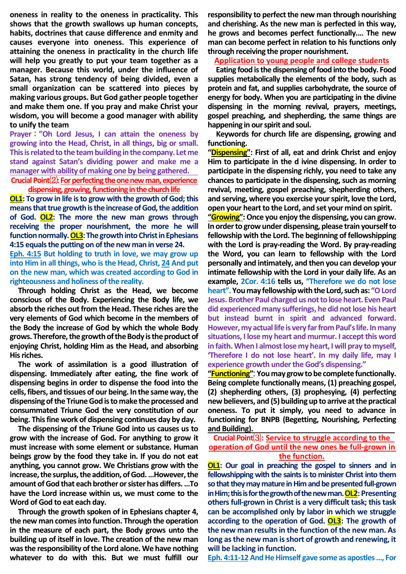**oneness in reality to the oneness in practicality. This shows that the growth swallows up human concepts, habits, doctrines that cause difference and enmity and causes everyone into oneness. This experience of attaining the oneness in practicality in the church life will help you greatly to put your team together as a manager. Because this world, under the influence of Satan, has strong tendency of being divided, even a small organization can be scattered into pieces by making various groups. But God gather people together and make them one. If you pray and make Christ your wisdom, you will become a good manager with ability to unify the team**

**Prayer** : **"Oh Lord Jesus, I can attain the oneness by growing into the Head, Christ, in all things, big or small. This is related to the teambuilding in the company. Let me stand against Satan's dividing power and make me a manager with ability of making one by being gathered.**

**Crucial Point**⑵**: For perfecting the one new man,experience**  dispensing, growing, functioning in the church life

**OL1: To grow in life is to grow with the growth of God; this means that true growth is the increase of God, the addition of God. OL2: The more the new man grows through receiving the proper nourishment, the more he will**  function normally. OL3: The growth into Christ in Ephesians **4:15 equals the putting on of the new man in verse 24.**

**Eph. 4:15 But holding to truth in love, we may grow up into Him in all things, who is the Head, Christ, 24 And put on the new man, which was created according to God in righteousness and holiness of the reality.**

**Through holding Christ as the Head, we become conscious of the Body. Experiencing the Body life, we absorb the riches out from the Head. These riches are the very elements of God which become in the members of the Body the increase of God by which the whole Body grows. Therefore, the growth of the Body is the product of enjoying Christ, holding Him as the Head, and absorbing His riches.**

**The work of assimilation is a good illustration of dispensing. Immediately after eating, the fine work of dispensing begins in order to dispense the food into the cells, fibers, and tissues of our being. In the same way, the dispensing of the Triune God is to make the processed and consummated Triune God the very constitution of our being. This fine work of dispensing continues day by day.**

**The dispensing of the Triune God into us causes us to grow with the increase of God. For anything to grow it must increase with some element or substance. Human beings grow by the food they take in. If you do not eat anything, you cannot grow. We Christians grow with the increase, the surplus, the addition, of God. …However, the amount of God that each brother or sister has differs. …To have the Lord increase within us, we must come to the Word of God to eat each day.**

**Through the growth spoken of in Ephesians chapter 4, the new man comes into function. Through the operation in the measure of each part, the Body grows unto the building up of itself in love. The creation of the new man was the responsibility of the Lord alone. We have nothing whatever to do with this. But we must fulfill our** 

**responsibility to perfect the new man through nourishing and cherishing. As the new man is perfected in this way, he grows and becomes perfect functionally.… The new man can become perfect in relation to his functions only through receiving the proper nourishment.**

**Application to young people and college students**

**Eating food is the dispensing of food into the body. Food supplies metabolically the elements of the body, such as protein and fat, and supplies carbohydrate, the source of energy for body. When you are participating in the divine dispensing in the morning revival, prayers, meetings, gospel preaching, and shepherding, the same things are happening in our spirit and soul.**

**Keywords for church life are dispensing, growing and functioning.** 

**"Dispensing": First of all, eat and drink Christ and enjoy Him to participate in the d ivine dispensing. In order to participate in the dispensing richly, you need to take any chances to participate in the dispensing, such as morning revival, meeting, gospel preaching, shepherding others, and serving, where you exercise your spirit, love the Lord, open your heart to the Lord, and set your mind on spirit.**

**"Growing":Once you enjoy the dispensing, you can grow. In order to grow under dispensing, please train yourself to fellowship with the Lord. The beginning of fellowshipping with the Lord is pray-reading the Word. By pray-reading the Word, you can learn to fellowship with the Lord personally and intimately, and then you can develop your intimate fellowship with the Lord in your daily life. As an example, 2Cor. 4:16 tells us, "Therefore we do not lose heart". You may fellowship with the Lord, such as: "O Lord Jesus.Brother Paul charged us not to lose heart. Even Paul did experienced many sufferings, he did not lose his heart but instead burnt in spirit and advanced forward. However, my actual life is very far from Paul's life. In many situations, I lose my heart and murmur. I accept this word in faith. When I almost lose my heart, I will pray to myself, 'Therefore I do not lose heart'. In my daily life, may I experience growth under the God's dispensing."**

**"Functioning"**: **You may grow to be complete functionally. Being complete functionally means, (1) preaching gospel, (2) shepherding others, (3) prophesying, (4) perfecting new believers, and (5) building up to arrive at the practical oneness. To put it simply, you need to advance in functioning for BNPB (Begetting, Nourishing, Perfecting and Building).** 

## **Crucial Point**⑶**: Service to struggle according to the operation of God until the new ones be full-grown in the function.**

**OL1:** Our goal in preaching the gospel to sinners and in **fellowshipping with the saints is to minister Christ into them**  so that they may mature in Him and be presented full-grown in Him; this is for the growth of the new man. **OL2**: Presenting **others full-grown in Christ is a very difficult task; this task can be accomplished only by labor in which we struggle according to the operation of God. OL3: The growth of the new man results in the function of the new man. As long as the new man is short of growth and renewing, it will be lacking in function.**

**Eph. 4:11-12And He Himself gave some as apostles …, For**